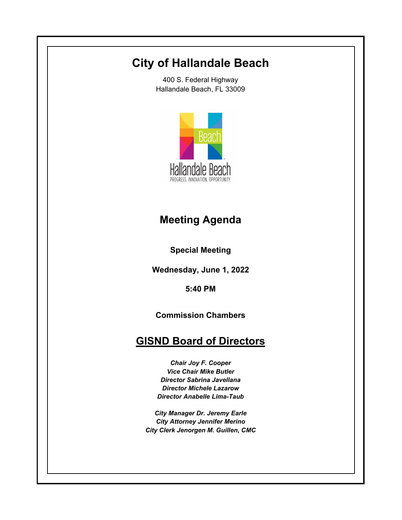# **City of Hallandale Beach**

400 S. Federal Highway Hallandale Beach, FL 33009



# **Meeting Agenda**

**Special Meeting**

**Wednesday, June 1, 2022**

**5:40 PM**

**Commission Chambers**

## **GISND Board of Directors**

*Chair Joy F. Cooper Vice Chair Mike Butler Director Sabrina Javellana Director Michele Lazarow Director Anabelle Lima-Taub*

*City Manager Dr. Jeremy Earle City Attorney Jennifer Merino City Clerk Jenorgen M. Guillen, CMC*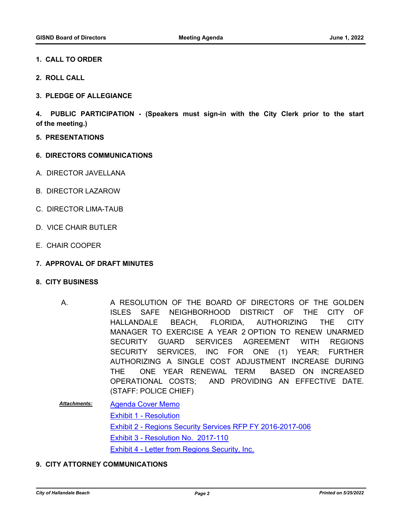### **1. CALL TO ORDER**

- **2. ROLL CALL**
- **3. PLEDGE OF ALLEGIANCE**

**4. PUBLIC PARTICIPATION - (Speakers must sign-in with the City Clerk prior to the start of the meeting.)**

- **5. PRESENTATIONS**
- **6. DIRECTORS COMMUNICATIONS**
- A. DIRECTOR JAVELLANA
- B. DIRECTOR LAZAROW
- C. DIRECTOR LIMA-TAUB
- D. VICE CHAIR BUTLER
- E. CHAIR COOPER
- **7. APPROVAL OF DRAFT MINUTES**
- **8. CITY BUSINESS**
	- A RESOLUTION OF THE BOARD OF DIRECTORS OF THE GOLDEN ISLES SAFE NEIGHBORHOOD DISTRICT OF THE CITY OF HALLANDALE BEACH, FLORIDA, AUTHORIZING THE CITY MANAGER TO EXERCISE A YEAR 2 OPTION TO RENEW UNARMED SECURITY GUARD SERVICES AGREEMENT WITH REGIONS SECURITY SERVICES, INC FOR ONE (1) YEAR; FURTHER AUTHORIZING A SINGLE COST ADJUSTMENT INCREASE DURING THE ONE YEAR RENEWAL TERM BASED ON INCREASED OPERATIONAL COSTS; AND PROVIDING AN EFFECTIVE DATE. (STAFF: POLICE CHIEF) A.
	- [Agenda Cover Memo](http://hallandalebeach.legistar.com/gateway.aspx?M=F&ID=dcdc5c67-9c90-4801-bab2-aa37c4bc4832.docx) [Exhibit 1 - Resolution](http://hallandalebeach.legistar.com/gateway.aspx?M=F&ID=f57e9f51-2d13-4ddc-bbc6-232ada469332.docx) [Exhibit 2 - Regions Security Services RFP FY 2016-2017-006](http://hallandalebeach.legistar.com/gateway.aspx?M=F&ID=156cd716-05f4-448d-a6cc-88e13d9151ce.pdf) [Exhibit 3 - Resolution No. 2017-110](http://hallandalebeach.legistar.com/gateway.aspx?M=F&ID=535d29cd-23fa-41b2-b807-a1b92744db52.pdf) **[Exhibit 4 - Letter from Regions Security, Inc.](http://hallandalebeach.legistar.com/gateway.aspx?M=F&ID=030595bd-de58-49a9-b685-0504e83f89ac.pdf)** *Attachments:*
- **9. CITY ATTORNEY COMMUNICATIONS**